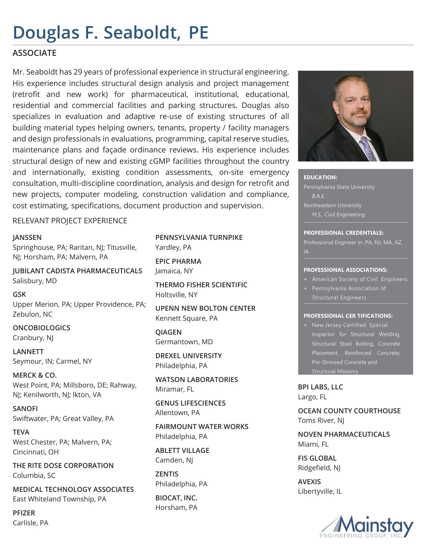# **Douglas F. Seaboldt, PE**

### **ASSOCIATE**

Mr. Seaboldt has 29 years of professional experience in structural engineering. His experience includes structural design analysis and project management (retrofit and new work) for pharmaceutical, institutional, educational, residential and commercial facilities and parking structures. Douglas also specializes in evaluation and adaptive re-use of existing structures of all building material types helping owners, tenants, property / facility managers and design professionals in evaluations, programming, capital reserve studies, maintenance plans and façade ordinance reviews. His experience includes structural design of new and existing cGMP facilities throughout the country and internationally, existing condition assessments, on-site emergency consultation, multi-discipline coordination, analysis and design for retrofit and new projects, computer modeling, construction validation and compliance, cost estimating, specifications, document production and supervision.

RELEVANT PROJECT EXPERIENCE

#### **JANSSEN**

Springhouse, PA; Raritan, NJ; Titusville, NJ; Horsham, PA; Malvern, PA

**JUBILANT CADISTA PHARMACEUTICALS** Salisbury, MD

**GSK** Upper Merion, PA; Upper Providence, PA; Zebulon, NC

### **ONCOBIOLOGICS** Cranbury, NJ

**LANNETT** Seymour, IN; Carmel, NY

**MERCK & CO.** West Point, PA; Millsboro, DE; Rahway, NJ; Kenilworth, NJ; lkton, VA

**SANOFI** Swiftwater, PA; Great Valley, PA

**TEVA** West Chester, PA; Malvern, PA; Cincinnati, OH

**THE RITE DOSE CORPORATION** Columbia, SC

**MEDICAL TECHNOLOGY ASSOCIATES** East Whiteland Township, PA

**PFIZER** Carlisle, PA

#### **PENNSYLVANIA TURNPIKE** Yardley, PA

**EPIC PHARMA** Jamaica, NY

**THERMO FISHER SCIENTIFIC** Holtsville, NY

**UPENN NEW BOLTON CENTER** Kennett Square, PA

**QIAGEN** Germantown, MD

**DREXEL UNIVERSITY** Philadelphia, PA

**WATSON LABORATORIES** Miramar, FL

**GENUS LIFESCIENCES** Allentown, PA

**FAIRMOUNT WATER WORKS** Philadelphia, PA

**ABLETT VILLAGE** Camden, NJ

**ZENTIS** Philadelphia, PA

**BIOCAT, INC.** Horsham, PA



**EDUCATION:**  Pennsylvania State University *B.A.E. M.S., Civil Engineering*

#### **PROFESSIONAL CREDENTIALS:**

Professional Engineer in: PA, NJ, MA, AZ, IA

#### **PROFESSIONAL ASSOCIATIONS:**

- **EXED: American Society of Civil Engineers**
- Pennsylvania Association of Structural Engineers

#### **PROFESSIONAL CER TIFICATIONS:**

▪ New Jersey Certified Special Inspector for Structural Welding, Structural Steel Bolting, Concrete Placement, Reinforced Concrete, Pre-Stressed Concrete and Structural Masonry

**BPI LABS, LLC** Largo, FL

**OCEAN COUNTY COURTHOUSE** Toms River, NJ

**NOVEN PHARMACEUTICALS** Miami, FL

**FIS GLOBAL** Ridgefield, NJ

**AVEXIS** Libertyville, IL